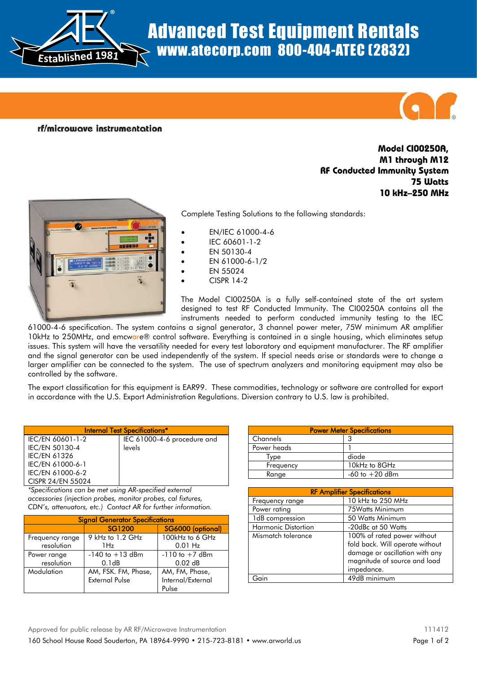

## Advanced Test Equipment Rentals www.atecorp.com 800-404-ATEC (2832)



rf/microwave instrumentation

## **Model CI00250A, M1 through M12 RF Conducted Immunity System 75 Watts 10 kHz–250 MHz**



Complete Testing Solutions to the following standards:

- EN/IEC 61000-4-6
- IEC 60601-1-2
- EN 50130-4
- EN 61000-6-1/2
- EN 55024
- CISPR 14-2

The Model CI00250A is a fully self-contained state of the art system designed to test RF Conducted Immunity. The CI00250A contains all the instruments needed to perform conducted immunity testing to the IEC

61000-4-6 specification. The system contains a signal generator, 3 channel power meter, 75W minimum AR amplifier 10kHz to 250MHz, and emcware® control software. Everything is contained in a single housing, which eliminates setup issues. This system will have the versatility needed for every test laboratory and equipment manufacturer. The RF amplifier and the signal generator can be used independently of the system. If special needs arise or standards were to change a larger amplifier can be connected to the system. The use of spectrum analyzers and monitoring equipment may also be controlled by the software.

The export classification for this equipment is EAR99. These commodities, technology or software are controlled for export in accordance with the U.S. Export Administration Regulations. Diversion contrary to U.S. law is prohibited.

| <b>Internal Test Specifications*</b> |                             |  |
|--------------------------------------|-----------------------------|--|
| IEC/EN 60601-1-2                     | IEC 61000-4-6 procedure and |  |
| IEC/EN 50130-4                       | levels                      |  |
| <b>IEC/EN 61326</b>                  |                             |  |
| IEC/EN 61000-6-1                     |                             |  |
| IEC/EN 61000-6-2                     |                             |  |
| CISPR 24/EN 55024                    |                             |  |

*\*Specifications can be met using AR-specified external accessories (injection probes, monitor probes, cal fixtures, CDN's, attenuators, etc.) Contact AR for further information.*

| <b>Signal Generator Specifications</b> |                       |                    |
|----------------------------------------|-----------------------|--------------------|
|                                        | <b>SG1200</b>         | SG6000 (optional)  |
| Frequency range                        | 9 kHz to 1.2 GHz      | 100kHz to 6 GHz    |
| resolution                             | 1 Hz                  | $0.01$ Hz          |
| Power range                            | $-140$ to $+13$ dBm   | $-110$ to $+7$ dBm |
| resolution                             | 0.1dB                 | $0.02$ dB          |
| Modulation                             | AM, FSK. FM, Phase,   | AM, FM, Phase,     |
|                                        | <b>External Pulse</b> | Internal/External  |
|                                        |                       | Pulse              |

| <b>Power Meter Specifications</b> |                    |  |
|-----------------------------------|--------------------|--|
| Channels                          | ર                  |  |
| Power heads                       |                    |  |
| Tvpe                              | diode              |  |
| Frequency                         | 10kHz to 8GHz      |  |
| Range                             | $-60$ to $+20$ dBm |  |

| <b>RF Amplifier Specifications</b> |                                                                                                                                                |  |
|------------------------------------|------------------------------------------------------------------------------------------------------------------------------------------------|--|
| Frequency range                    | 10 kHz to 250 MHz                                                                                                                              |  |
| Power rating                       | 75Watts Minimum                                                                                                                                |  |
| 1dB compression                    | 50 Watts Minimum                                                                                                                               |  |
| <b>Harmonic Distortion</b>         | -20dBc at 50 Watts                                                                                                                             |  |
| Mismatch tolerance                 | 100% of rated power without<br>fold back. Will operate without<br>damage or oscillation with any<br>magnitude of source and load<br>impedance. |  |
|                                    | 49dB minimum                                                                                                                                   |  |

Approved for public release by AR RF/Microwave Instrumentation 111412